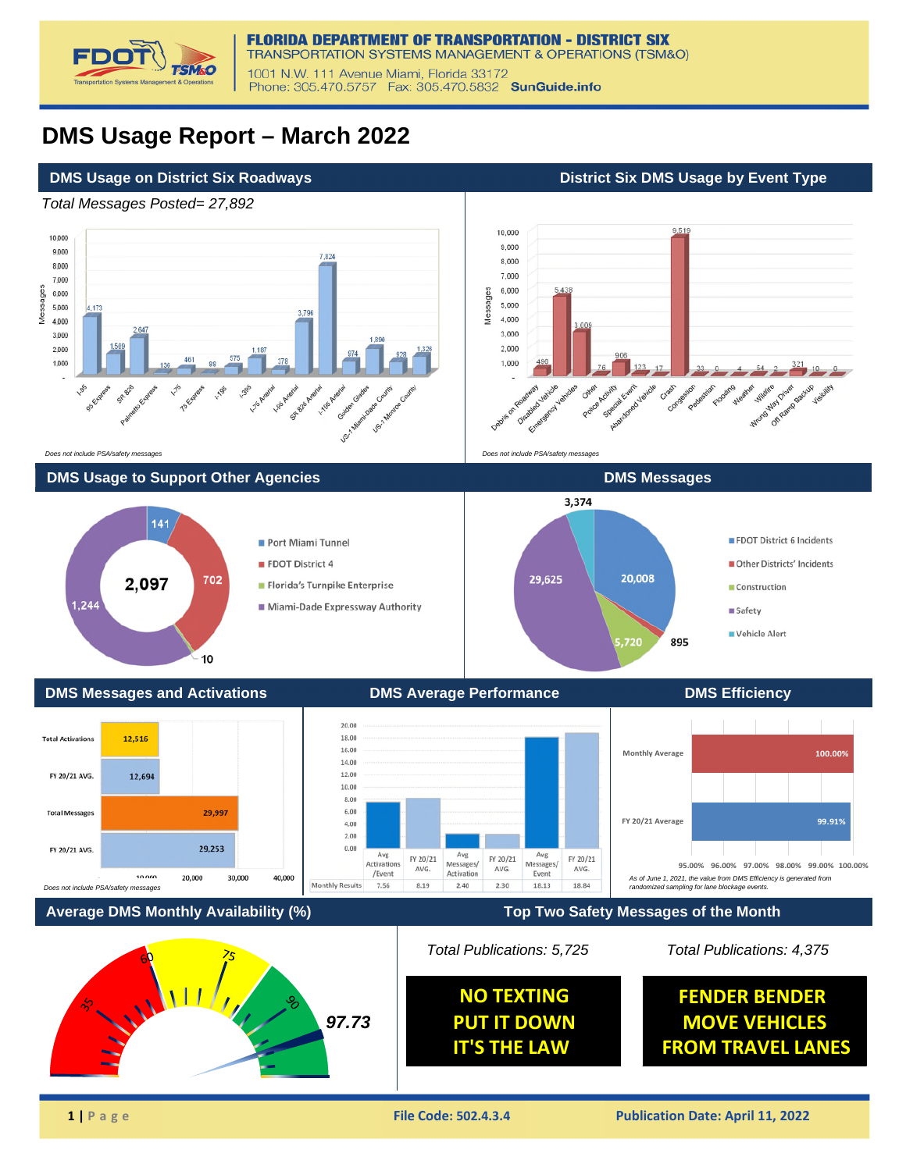

## **DMS Usage Report – March 2022**

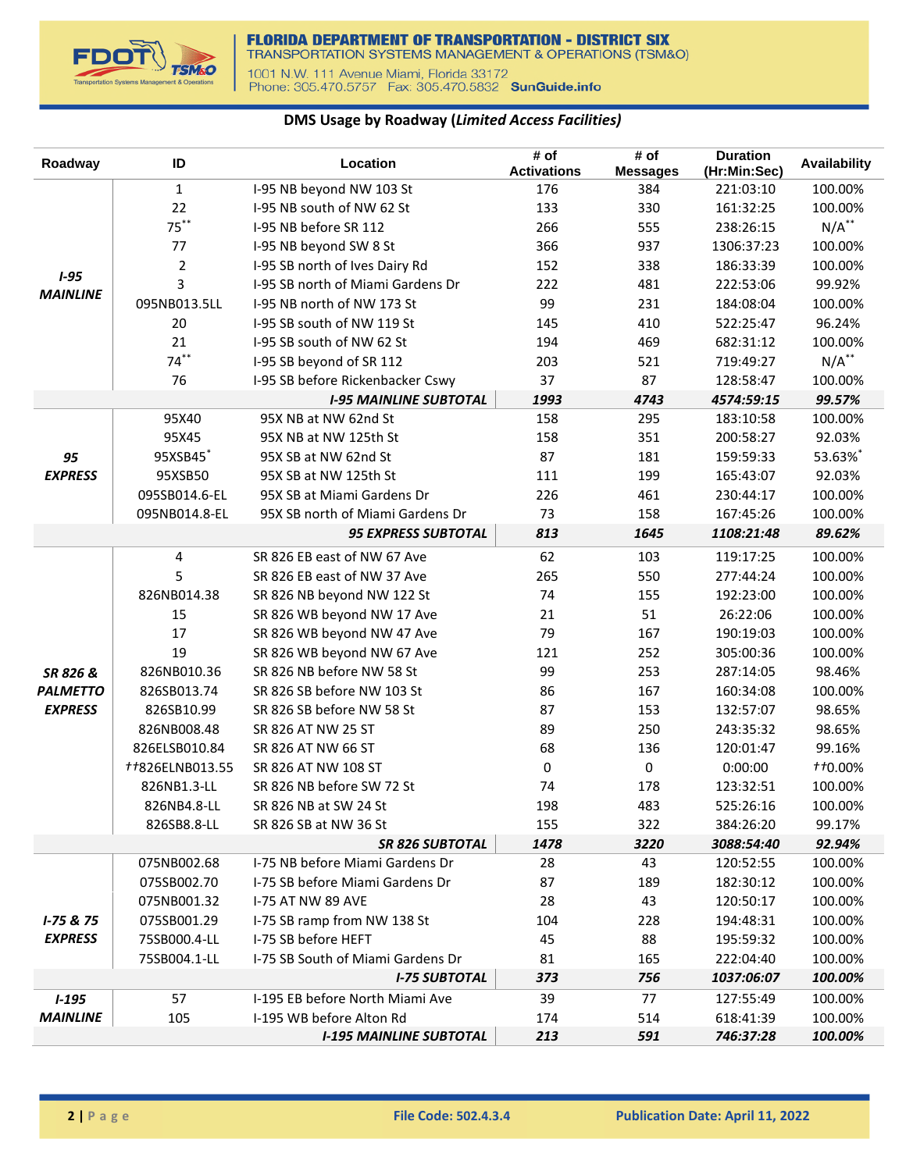

## **DMS Usage by Roadway (***Limited Access Facilities)*

| Roadway              | ID              | Location                          | # of<br><b>Activations</b> | # of<br><b>Messages</b> | <b>Duration</b><br>(Hr:Min:Sec) | Availability   |
|----------------------|-----------------|-----------------------------------|----------------------------|-------------------------|---------------------------------|----------------|
|                      | $\mathbf{1}$    | I-95 NB beyond NW 103 St          | 176                        | 384                     | 221:03:10                       | 100.00%        |
|                      | 22              | I-95 NB south of NW 62 St         | 133                        | 330                     | 161:32:25                       | 100.00%        |
|                      | $75***$         | I-95 NB before SR 112             | 266                        | 555                     | 238:26:15                       | $N/A$ **       |
|                      | 77              | I-95 NB beyond SW 8 St            | 366                        | 937                     | 1306:37:23                      | 100.00%        |
|                      | $\overline{2}$  | I-95 SB north of Ives Dairy Rd    | 152                        | 338                     | 186:33:39                       | 100.00%        |
| $1 - 95$             | 3               | I-95 SB north of Miami Gardens Dr | 222                        | 481                     | 222:53:06                       | 99.92%         |
| <b>MAINLINE</b>      | 095NB013.5LL    | I-95 NB north of NW 173 St        | 99                         | 231                     | 184:08:04                       | 100.00%        |
|                      | 20              | I-95 SB south of NW 119 St        | 145                        | 410                     | 522:25:47                       | 96.24%         |
|                      | 21              | I-95 SB south of NW 62 St         | 194                        | 469                     | 682:31:12                       | 100.00%        |
|                      | $74***$         | I-95 SB beyond of SR 112          | 203                        | 521                     | 719:49:27                       | $N/A$ **       |
|                      | 76              | I-95 SB before Rickenbacker Cswy  | 37                         | 87                      | 128:58:47                       | 100.00%        |
|                      |                 | <b>I-95 MAINLINE SUBTOTAL</b>     | 1993                       | 4743                    | 4574:59:15                      | 99.57%         |
|                      | 95X40           | 95X NB at NW 62nd St              | 158                        | 295                     | 183:10:58                       | 100.00%        |
|                      | 95X45           | 95X NB at NW 125th St             | 158                        | 351                     | 200:58:27                       | 92.03%         |
|                      | 95XSB45*        | 95X SB at NW 62nd St              | 87                         | 181                     | 159:59:33                       | 53.63%*        |
| 95<br><b>EXPRESS</b> | 95XSB50         | 95X SB at NW 125th St             | 111                        | 199                     | 165:43:07                       | 92.03%         |
|                      | 095SB014.6-EL   | 95X SB at Miami Gardens Dr        | 226                        | 461                     | 230:44:17                       | 100.00%        |
|                      | 095NB014.8-EL   | 95X SB north of Miami Gardens Dr  | 73                         | 158                     | 167:45:26                       | 100.00%        |
|                      |                 | <b>95 EXPRESS SUBTOTAL</b>        | 813                        | 1645                    |                                 | 89.62%         |
|                      |                 |                                   |                            |                         | 1108:21:48                      |                |
|                      | $\overline{4}$  | SR 826 EB east of NW 67 Ave       | 62                         | 103                     | 119:17:25                       | 100.00%        |
|                      | 5               | SR 826 EB east of NW 37 Ave       | 265                        | 550                     | 277:44:24                       | 100.00%        |
|                      | 826NB014.38     | SR 826 NB beyond NW 122 St        | 74                         | 155                     | 192:23:00                       | 100.00%        |
|                      | 15              | SR 826 WB beyond NW 17 Ave        | 21                         | 51                      | 26:22:06                        | 100.00%        |
|                      | 17              | SR 826 WB beyond NW 47 Ave        | 79                         | 167                     | 190:19:03                       | 100.00%        |
|                      | 19              | SR 826 WB beyond NW 67 Ave        | 121                        | 252                     | 305:00:36                       | 100.00%        |
| SR 826 &             | 826NB010.36     | SR 826 NB before NW 58 St         | 99                         | 253                     | 287:14:05                       | 98.46%         |
| <b>PALMETTO</b>      | 826SB013.74     | SR 826 SB before NW 103 St        | 86                         | 167                     | 160:34:08                       | 100.00%        |
| <b>EXPRESS</b>       | 826SB10.99      | SR 826 SB before NW 58 St         | 87                         | 153                     | 132:57:07                       | 98.65%         |
|                      | 826NB008.48     | SR 826 AT NW 25 ST                | 89                         | 250                     | 243:35:32                       | 98.65%         |
|                      | 826ELSB010.84   | SR 826 AT NW 66 ST                | 68                         | 136                     | 120:01:47                       | 99.16%         |
|                      | ##826ELNB013.55 | SR 826 AT NW 108 ST               | 0                          | 0                       | 0:00:00                         | <b>tt0.00%</b> |
|                      | 826NB1.3-LL     | SR 826 NB before SW 72 St         | 74                         | 178                     | 123:32:51                       | 100.00%        |
|                      | 826NB4.8-LL     | SR 826 NB at SW 24 St             | 198                        | 483                     | 525:26:16                       | 100.00%        |
|                      | 826SB8.8-LL     | SR 826 SB at NW 36 St             | 155                        | 322                     | 384:26:20                       | 99.17%         |
|                      |                 | <b>SR 826 SUBTOTAL</b>            | 1478                       | 3220                    | 3088:54:40                      | 92.94%         |
|                      | 075NB002.68     | I-75 NB before Miami Gardens Dr   | 28                         | 43                      | 120:52:55                       | 100.00%        |
|                      | 075SB002.70     | I-75 SB before Miami Gardens Dr   | 87                         | 189                     | 182:30:12                       | 100.00%        |
|                      | 075NB001.32     | <b>I-75 AT NW 89 AVE</b>          | 28                         | 43                      | 120:50:17                       | 100.00%        |
| $I - 75 & 75$        | 075SB001.29     | I-75 SB ramp from NW 138 St       | 104                        | 228                     | 194:48:31                       | 100.00%        |
| <b>EXPRESS</b>       | 75SB000.4-LL    | I-75 SB before HEFT               | 45                         | 88                      | 195:59:32                       | 100.00%        |
|                      | 75SB004.1-LL    | I-75 SB South of Miami Gardens Dr | 81                         | 165                     | 222:04:40                       | 100.00%        |
|                      |                 | <b>I-75 SUBTOTAL</b>              | 373                        | 756                     | 1037:06:07                      | 100.00%        |
| $1 - 195$            | 57              | I-195 EB before North Miami Ave   | 39                         | 77                      | 127:55:49                       | 100.00%        |
| <b>MAINLINE</b>      | 105             | I-195 WB before Alton Rd          | 174                        | 514                     | 618:41:39                       | 100.00%        |
|                      |                 | <b>I-195 MAINLINE SUBTOTAL</b>    | 213                        | 591                     | 746:37:28                       | 100.00%        |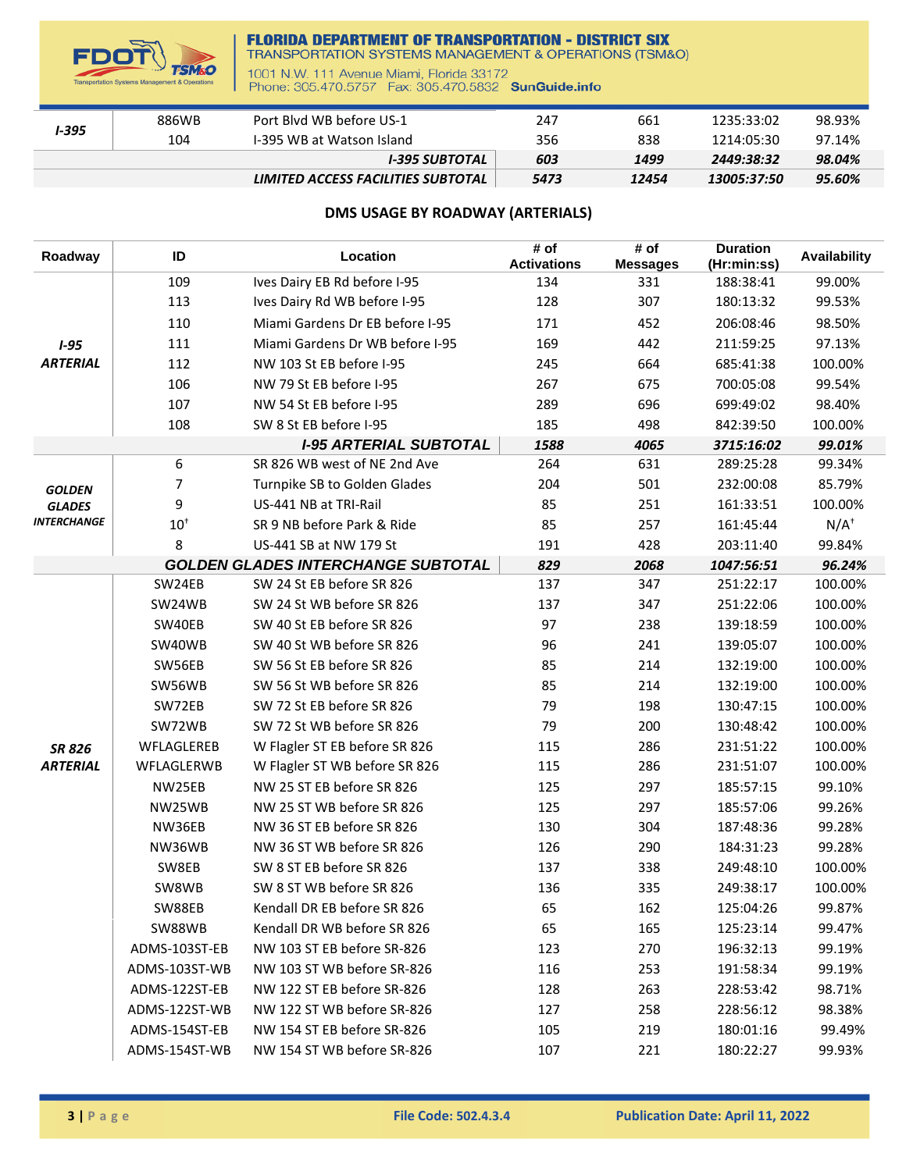

## **FLORIDA DEPARTMENT OF TRANSPORTATION - DISTRICT SIX**<br>TRANSPORTATION SYSTEMS MANAGEMENT & OPERATIONS (TSM&O)

1001 N.W. 111 Avenue Miami, Florida 33172<br>Phone: 305.470.5757 Fax: 305.470.5832 SunGuide.info

| I-395 | 886WB | Port Blyd WB before US-1           | 247  | 661   | 1235:33:02  | 98.93% |
|-------|-------|------------------------------------|------|-------|-------------|--------|
|       | 104   | 1-395 WB at Watson Island          | 356  | 838   | 1214:05:30  | 97.14% |
|       |       | I-395 SUBTOTAL                     | 603  | 1499  | 2449:38:32  | 98.04% |
|       |       | LIMITED ACCESS FACILITIES SUBTOTAL | 5473 | 12454 | 13005:37:50 | 95.60% |

## **DMS USAGE BY ROADWAY (ARTERIALS)**

| Roadway            | ID             | Location                                  | # of<br><b>Activations</b> | # of<br><b>Messages</b> | <b>Duration</b><br>(Hr:min:ss) | Availability |
|--------------------|----------------|-------------------------------------------|----------------------------|-------------------------|--------------------------------|--------------|
|                    | 109            | Ives Dairy EB Rd before I-95              | 134                        | 331                     | 188:38:41                      | 99.00%       |
|                    | 113            | Ives Dairy Rd WB before I-95              | 128                        | 307                     | 180:13:32                      | 99.53%       |
|                    | 110            | Miami Gardens Dr EB before I-95           | 171                        | 452                     | 206:08:46                      | 98.50%       |
| $1 - 95$           | 111            | Miami Gardens Dr WB before I-95           | 169                        | 442                     | 211:59:25                      | 97.13%       |
| <b>ARTERIAL</b>    | 112            | NW 103 St EB before I-95                  | 245                        | 664                     | 685:41:38                      | 100.00%      |
|                    | 106            | NW 79 St EB before I-95                   | 267                        | 675                     | 700:05:08                      | 99.54%       |
|                    | 107            | NW 54 St EB before I-95                   | 289                        | 696                     | 699:49:02                      | 98.40%       |
|                    | 108            | SW 8 St EB before I-95                    | 185                        | 498                     | 842:39:50                      | 100.00%      |
|                    |                | <b>I-95 ARTERIAL SUBTOTAL</b>             | 1588                       | 4065                    | 3715:16:02                     | 99.01%       |
|                    | 6              | SR 826 WB west of NE 2nd Ave              | 264                        | 631                     | 289:25:28                      | 99.34%       |
| <b>GOLDEN</b>      | $\overline{7}$ | Turnpike SB to Golden Glades              | 204                        | 501                     | 232:00:08                      | 85.79%       |
| <b>GLADES</b>      | 9              | US-441 NB at TRI-Rail                     | 85                         | 251                     | 161:33:51                      | 100.00%      |
| <b>INTERCHANGE</b> | $10^+$         | SR 9 NB before Park & Ride                | 85                         | 257                     | 161:45:44                      | $N/A^+$      |
|                    | 8              | US-441 SB at NW 179 St                    | 191                        | 428                     | 203:11:40                      | 99.84%       |
|                    |                | <b>GOLDEN GLADES INTERCHANGE SUBTOTAL</b> | 829                        | 2068                    | 1047:56:51                     | 96.24%       |
|                    | SW24EB         | SW 24 St EB before SR 826                 | 137                        | 347                     | 251:22:17                      | 100.00%      |
|                    | SW24WB         | SW 24 St WB before SR 826                 | 137                        | 347                     | 251:22:06                      | 100.00%      |
|                    | SW40EB         | SW 40 St EB before SR 826                 | 97                         | 238                     | 139:18:59                      | 100.00%      |
|                    | SW40WB         | SW 40 St WB before SR 826                 | 96                         | 241                     | 139:05:07                      | 100.00%      |
|                    | SW56EB         | SW 56 St EB before SR 826                 | 85                         | 214                     | 132:19:00                      | 100.00%      |
|                    | SW56WB         | SW 56 St WB before SR 826                 | 85                         | 214                     | 132:19:00                      | 100.00%      |
|                    | SW72EB         | SW 72 St EB before SR 826                 | 79                         | 198                     | 130:47:15                      | 100.00%      |
|                    | SW72WB         | SW 72 St WB before SR 826                 | 79                         | 200                     | 130:48:42                      | 100.00%      |
| <b>SR 826</b>      | WFLAGLEREB     | W Flagler ST EB before SR 826             | 115                        | 286                     | 231:51:22                      | 100.00%      |
| <b>ARTERIAL</b>    | WFLAGLERWB     | W Flagler ST WB before SR 826             | 115                        | 286                     | 231:51:07                      | 100.00%      |
|                    | NW25EB         | NW 25 ST EB before SR 826                 | 125                        | 297                     | 185:57:15                      | 99.10%       |
|                    | NW25WB         | NW 25 ST WB before SR 826                 | 125                        | 297                     | 185:57:06                      | 99.26%       |
|                    | NW36EB         | NW 36 ST EB before SR 826                 | 130                        | 304                     | 187:48:36                      | 99.28%       |
|                    | NW36WB         | NW 36 ST WB before SR 826                 | 126                        | 290                     | 184:31:23                      | 99.28%       |
|                    | SW8EB          | SW 8 ST EB before SR 826                  | 137                        | 338                     | 249:48:10                      | 100.00%      |
|                    | SW8WB          | SW 8 ST WB before SR 826                  | 136                        | 335                     | 249:38:17                      | 100.00%      |
|                    | SW88EB         | Kendall DR EB before SR 826               | 65                         | 162                     | 125:04:26                      | 99.87%       |
|                    | SW88WB         | Kendall DR WB before SR 826               | 65                         | 165                     | 125:23:14                      | 99.47%       |
|                    | ADMS-103ST-EB  | NW 103 ST EB before SR-826                | 123                        | 270                     | 196:32:13                      | 99.19%       |
|                    | ADMS-103ST-WB  | NW 103 ST WB before SR-826                | 116                        | 253                     | 191:58:34                      | 99.19%       |
|                    | ADMS-122ST-EB  | NW 122 ST EB before SR-826                | 128                        | 263                     | 228:53:42                      | 98.71%       |
|                    | ADMS-122ST-WB  | NW 122 ST WB before SR-826                | 127                        | 258                     | 228:56:12                      | 98.38%       |
|                    | ADMS-154ST-EB  | NW 154 ST EB before SR-826                | 105                        | 219                     | 180:01:16                      | 99.49%       |
|                    | ADMS-154ST-WB  | NW 154 ST WB before SR-826                | 107                        | 221                     | 180:22:27                      | 99.93%       |